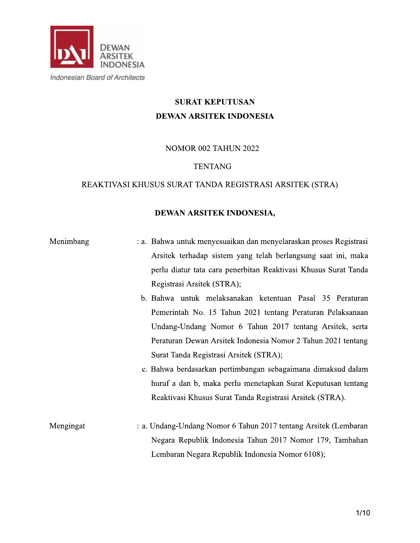

# SURAT KEPUTUSAN **DEWAN ARSITEK INDONESIA**

**NOMOR 002 TAHUN 2022** 

# **TENTANG**

# REAKTIVASI KHUSUS SURAT TANDA REGISTRASI ARSITEK (STRA)

# **DEWAN ARSITEK INDO**

| REAKTIVASI KHUSUS SURAT TANDA REGISTRASI ARSITEK (STRA)<br>DEWAN ARSITEK INDONESIA,<br>Menimbang<br>: a. Bahwa untuk menyesuaikan dan menyelaraskan proses Registrasi<br>Arsitek terhadap sistem yang telah berlangsung saat ini, maka<br>perlu diatur tata cara penerbitan Reaktivasi Khusus Surat Tanda<br>Registrasi Arsitek (STRA);<br>b. Bahwa untuk melaksanakan ketentuan Pasal 35 Peraturan                         |  | <b>TENTANG</b> |  |  |
|-----------------------------------------------------------------------------------------------------------------------------------------------------------------------------------------------------------------------------------------------------------------------------------------------------------------------------------------------------------------------------------------------------------------------------|--|----------------|--|--|
|                                                                                                                                                                                                                                                                                                                                                                                                                             |  |                |  |  |
|                                                                                                                                                                                                                                                                                                                                                                                                                             |  |                |  |  |
| Pemerintah No. 15 Tahun 2021 tentang Peraturan Pelaksanaan<br>Undang-Undang Nomor 6 Tahun 2017 tentang Arsitek, serta<br>Peraturan Dewan Arsitek Indonesia Nomor 2 Tahun 2021 tentang<br>Surat Tanda Registrasi Arsitek (STRA);<br>c. Bahwa berdasarkan pertimbangan sebagaimana dimaksud dalam<br>huruf a dan b, maka perlu menetapkan Surat Keputusan tentang<br>Reaktivasi Khusus Surat Tanda Registrasi Arsitek (STRA). |  |                |  |  |
| : a. Undang-Undang Nomor 6 Tahun 2017 tentang Arsitek (Lembaran<br>Mengingat<br>Negara Republik Indonesia Tahun 2017 Nomor 179, Tambahan<br>Lembaran Negara Republik Indonesia Nomor 6108);                                                                                                                                                                                                                                 |  |                |  |  |
| 1/10                                                                                                                                                                                                                                                                                                                                                                                                                        |  |                |  |  |

- 
- 
-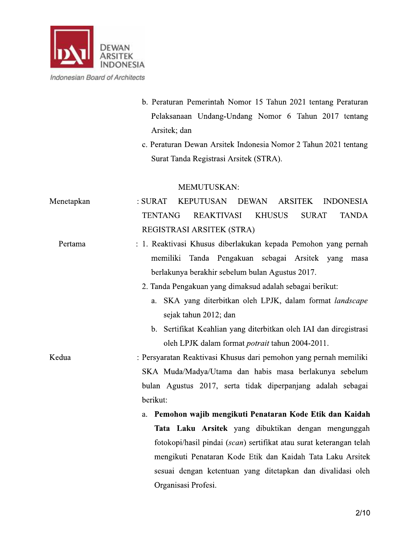

- b. Peraturan Pemerintah Nomor 15 Tahun 2021 tentang Peraturan Pelaksanaan Undang-Undang Nomor 6 Tahun 2017 tentang Arsitek; dan
- c. Peraturan Dewan Arsitek Indonesia Nomor 2 Tahun 2021 tentang Surat Tanda Registrasi Arsitek (STRA).

#### **MEMUTUSKAN:**

 $:$  SURAT Menetapkan **KEPUTUSAN DEWAN ARSITEK INDONESIA TENTANG REAKTIVASI KHUSUS SURAT TANDA** REGISTRASI ARSITEK (STRA) : 1. Reaktivasi Khusus diberlakukan kepada Pemohon yang pernah Pertama memiliki Tanda Pengakuan sebagai Arsitek yang masa berlakunya berakhir sebelum bulan Agustus 2017. 2. Tanda Pengakuan yang dimaksud adalah sebagai berikut: a. SKA yang diterbitkan oleh LPJK, dalam format landscape sejak tahun 2012; dan b. Sertifikat Keahlian yang diterbitkan oleh IAI dan diregistrasi oleh LPJK dalam format potrait tahun 2004-2011. Kedua : Persyaratan Reaktivasi Khusus dari pemohon yang pernah memiliki SKA Muda/Madya/Utama dan habis masa berlakunya sebelum bulan Agustus 2017, serta tidak diperpanjang adalah sebagai berikut: a. Pemohon wajib mengikuti Penataran Kode Etik dan Kaidah Tata Laku Arsitek yang dibuktikan dengan mengunggah fotokopi/hasil pindai (scan) sertifikat atau surat keterangan telah mengikuti Penataran Kode Etik dan Kaidah Tata Laku Arsitek sesuai dengan ketentuan yang ditetapkan dan divalidasi oleh Organisasi Profesi.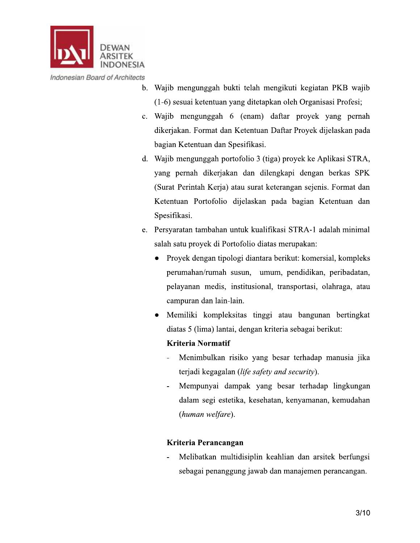

- b. Wajib mengunggah bukti telah mengikuti kegiatan PKB wajib (1-6) sesuai ketentuan yang ditetapkan oleh Organisasi Profesi;
- c. Wajib mengunggah 6 (enam) daftar proyek yang pernah dikerjakan. Format dan Ketentuan Daftar Proyek dijelaskan pada bagian Ketentuan dan Spesifikasi.
- d. Wajib mengunggah portofolio 3 (tiga) proyek ke Aplikasi STRA, yang pernah dikerjakan dan dilengkapi dengan berkas SPK (Surat Perintah Kerja) atau surat keterangan sejenis. Format dan Ketentuan Portofolio dijelaskan pada bagian Ketentuan dan Spesifikasi.
- e. Persyaratan tambahan untuk kualifikasi STRA-1 adalah minimal salah satu proyek di Portofolio diatas merupakan:
	- Proyek dengan tipologi diantara berikut: komersial, kompleks perumahan/rumah susun, umum, pendidikan, peribadatan, pelayanan medis, institusional, transportasi, olahraga, atau campuran dan lain-lain.
	- Memiliki kompleksitas tinggi atau bangunan bertingkat diatas 5 (lima) lantai, dengan kriteria sebagai berikut:

#### **Kriteria Normatif**

- Menimbulkan risiko yang besar terhadap manusia jika terjadi kegagalan (life safety and security).
- Mempunyai dampak yang besar terhadap lingkungan dalam segi estetika, kesehatan, kenyamanan, kemudahan (human welfare).

#### Kriteria Perancangan

Melibatkan multidisiplin keahlian dan arsitek berfungsi sebagai penanggung jawab dan manajemen perancangan.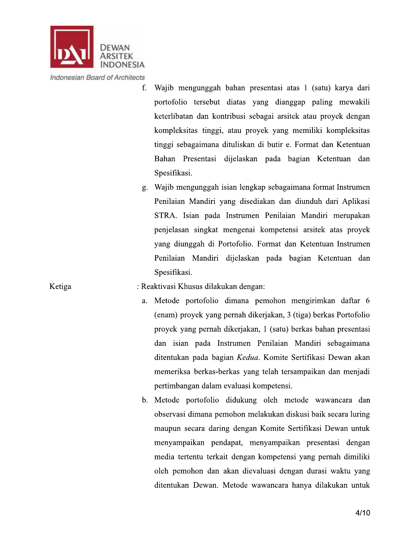

Ketiga

 $f_{\cdot}$ Wajib mengunggah bahan presentasi atas 1 (satu) karya dari portofolio tersebut diatas yang dianggap paling mewakili keterlibatan dan kontribusi sebagai arsitek atau proyek dengan kompleksitas tinggi, atau proyek yang memiliki kompleksitas tinggi sebagaimana dituliskan di butir e. Format dan Ketentuan Bahan Presentasi dijelaskan pada bagian Ketentuan dan Spesifikasi.

g. Wajib mengunggah isian lengkap sebagaimana format Instrumen Penilaian Mandiri yang disediakan dan diunduh dari Aplikasi STRA. Isian pada Instrumen Penilaian Mandiri merupakan penjelasan singkat mengenai kompetensi arsitek atas proyek yang diunggah di Portofolio. Format dan Ketentuan Instrumen Penilaian Mandiri dijelaskan pada bagian Ketentuan dan Spesifikasi.

#### : Reaktivasi Khusus dilakukan dengan:

- a. Metode portofolio dimana pemohon mengirimkan daftar 6 (enam) proyek yang pernah dikerjakan, 3 (tiga) berkas Portofolio proyek yang pernah dikerjakan, 1 (satu) berkas bahan presentasi dan isian pada Instrumen Penilaian Mandiri sebagaimana ditentukan pada bagian Kedua. Komite Sertifikasi Dewan akan memeriksa berkas-berkas yang telah tersampaikan dan menjadi pertimbangan dalam evaluasi kompetensi.
- b. Metode portofolio didukung oleh metode wawancara dan observasi dimana pemohon melakukan diskusi baik secara luring maupun secara daring dengan Komite Sertifikasi Dewan untuk menyampaikan pendapat, menyampaikan presentasi dengan media tertentu terkait dengan kompetensi yang pernah dimiliki oleh pemohon dan akan dievaluasi dengan durasi waktu yang ditentukan Dewan. Metode wawancara hanya dilakukan untuk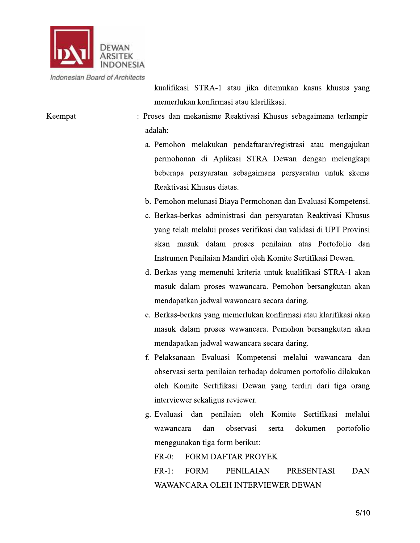

Keempat

kualifikasi STRA-1 atau jika ditemukan kasus khusus yang memerlukan konfirmasi atau klarifikasi.

- : Proses dan mekanisme Reaktivasi Khusus sebagaimana terlampir adalah:
	- a. Pemohon melakukan pendaftaran/registrasi atau mengajukan permohonan di Aplikasi STRA Dewan dengan melengkapi beberapa persyaratan sebagaimana persyaratan untuk skema Reaktivasi Khusus diatas.
	- b. Pemohon melunasi Biaya Permohonan dan Evaluasi Kompetensi.
	- c. Berkas-berkas administrasi dan persyaratan Reaktivasi Khusus yang telah melalui proses verifikasi dan validasi di UPT Provinsi akan masuk dalam proses penilaian atas Portofolio dan Instrumen Penilaian Mandiri oleh Komite Sertifikasi Dewan.
	- d. Berkas yang memenuhi kriteria untuk kualifikasi STRA-1 akan masuk dalam proses wawancara. Pemohon bersangkutan akan mendapatkan jadwal wawancara secara daring.
	- e. Berkas-berkas yang memerlukan konfirmasi atau klarifikasi akan masuk dalam proses wawancara. Pemohon bersangkutan akan mendapatkan jadwal wawancara secara daring.
	- f. Pelaksanaan Evaluasi Kompetensi melalui wawancara dan observasi serta penilaian terhadap dokumen portofolio dilakukan oleh Komite Sertifikasi Dewan yang terdiri dari tiga orang interviewer sekaligus reviewer.
	- g. Evaluasi dan penilaian oleh Komite Sertifikasi melalui dan observasi wawancara dokumen portofolio serta menggunakan tiga form berikut:
		- $FR-0$ : FORM DAFTAR PROYEK

 $FR-1:$ **FORM PENILAIAN PRESENTASI DAN** WAWANCARA OLEH INTERVIEWER DEWAN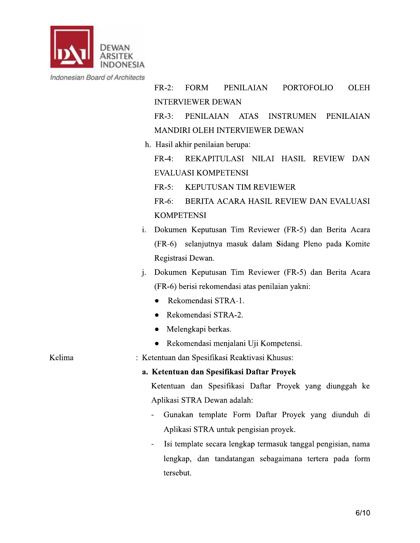

**FORM**  $FR-2$ : **PENILAIAN PORTOFOLIO OLEH INTERVIEWER DEWAN INSTRUMEN PENILAIAN**  $FR-3$ : PENILAIAN ATAS

MANDIRI OLEH INTERVIEWER DEWAN

h. Hasil akhir penilaian berupa:

FR-4: REKAPITULASI NILAI HASIL REVIEW DAN EVALUASI KOMPETENSI

 $FR-5$ : **KEPUTUSAN TIM REVIEWER** 

FR-6: BERITA ACARA HASIL REVIEW DAN EVALUASI **KOMPETENSI** 

- i. Dokumen Keputusan Tim Reviewer (FR-5) dan Berita Acara (FR-6) selanjutnya masuk dalam Sidang Pleno pada Komite Registrasi Dewan.
- Dokumen Keputusan Tim Reviewer (FR-5) dan Berita Acara i. (FR-6) berisi rekomendasi atas penilaian yakni:
	- $\bullet$ Rekomendasi STRA-1.
	- Rekomendasi STRA-2.  $\bullet$
	- Melengkapi berkas.  $\bullet$
	- Rekomendasi menjalani Uji Kompetensi.  $\bullet$

: Ketentuan dan Spesifikasi Reaktivasi Khusus:

#### a. Ketentuan dan Spesifikasi Daftar Proyek

Ketentuan dan Spesifikasi Daftar Proyek yang diunggah ke Aplikasi STRA Dewan adalah:

- Gunakan template Form Daftar Proyek yang diunduh di  $\overline{a}$ Aplikasi STRA untuk pengisian proyek.
- Isi template secara lengkap termasuk tanggal pengisian, nama lengkap, dan tandatangan sebagaimana tertera pada form tersebut.

Kelima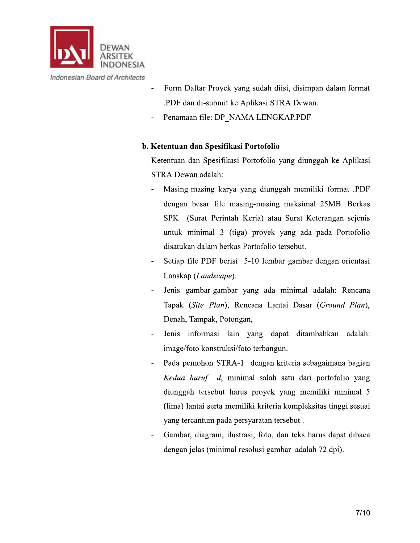

- Form Daftar Proyek yang sudah diisi, disimpan dalam format  $\overline{a}$ .PDF dan di-submit ke Aplikasi STRA Dewan.
- Penamaan file: DP NAMA LENGKAP.PDF

#### b. Ketentuan dan Spesifikasi Portofolio

Ketentuan dan Spesifikasi Portofolio yang diunggah ke Aplikasi STRA Dewan adalah:

- Masing-masing karya yang diunggah memiliki format .PDF dengan besar file masing-masing maksimal 25MB. Berkas SPK (Surat Perintah Kerja) atau Surat Keterangan sejenis untuk minimal 3 (tiga) proyek yang ada pada Portofolio disatukan dalam berkas Portofolio tersebut.
- Setiap file PDF berisi 5-10 lembar gambar dengan orientasi Lanskap (Landscape).
- Jenis gambar-gambar yang ada minimal adalah: Rencana Tapak (Site Plan), Rencana Lantai Dasar (Ground Plan), Denah, Tampak, Potongan,
- Jenis informasi lain yang dapat ditambahkan adalah: image/foto konstruksi/foto terbangun.
- Pada pemohon STRA-1 dengan kriteria sebagaimana bagian Kedua huruf d, minimal salah satu dari portofolio yang diunggah tersebut harus proyek yang memiliki minimal 5 (lima) lantai serta memiliki kriteria kompleksitas tinggi sesuai yang tercantum pada persyaratan tersebut.
- Gambar, diagram, ilustrasi, foto, dan teks harus dapat dibaca dengan jelas (minimal resolusi gambar adalah 72 dpi).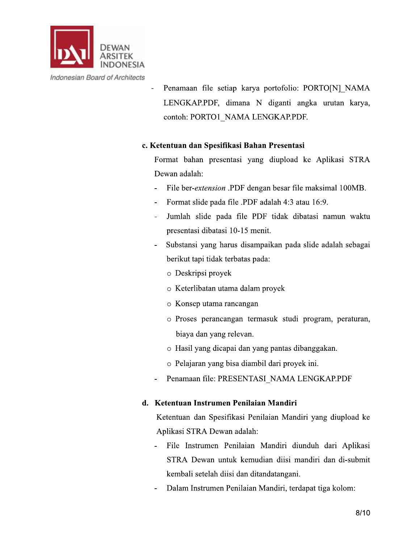

Penamaan file setiap karya portofolio: PORTO[N] NAMA LENGKAP.PDF, dimana N diganti angka urutan karya, contoh: PORTO1 NAMA LENGKAP.PDF.

#### c. Ketentuan dan Spesifikasi Bahan Presentasi

Format bahan presentasi yang diupload ke Aplikasi STRA Dewan adalah:

- File ber-*extension* .PDF dengan besar file maksimal 100MB.
- Format slide pada file .PDF adalah 4:3 atau 16:9.  $\frac{1}{2}$
- Jumlah slide pada file PDF tidak dibatasi namun waktu presentasi dibatasi 10-15 menit.
- Substansi yang harus disampaikan pada slide adalah sebagai berikut tapi tidak terbatas pada:
	- o Deskripsi proyek
	- o Keterlibatan utama dalam proyek
	- o Konsep utama rancangan
	- o Proses perancangan termasuk studi program, peraturan, biaya dan yang relevan.
	- o Hasil yang dicapai dan yang pantas dibanggakan.
	- o Pelajaran yang bisa diambil dari proyek ini.
- Penamaan file: PRESENTASI NAMA LENGKAP.PDF

#### d. Ketentuan Instrumen Penilaian Mandiri

Ketentuan dan Spesifikasi Penilaian Mandiri yang diupload ke Aplikasi STRA Dewan adalah:

- File Instrumen Penilaian Mandiri diunduh dari Aplikasi STRA Dewan untuk kemudian diisi mandiri dan di-submit kembali setelah diisi dan ditandatangani.
- Dalam Instrumen Penilaian Mandiri, terdapat tiga kolom:  $\blacksquare$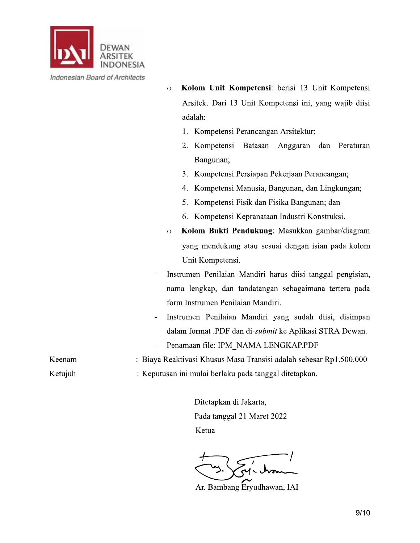

| Indonesian Board of Architects |  |  |  |
|--------------------------------|--|--|--|
|--------------------------------|--|--|--|

Kolom Unit Kompetensi: berisi 13 Unit Kompetensi  $\circ$ Arsitek. Dari 13 Unit Kompetensi ini, yang wajib diisi adalah:

- 1. Kompetensi Perancangan Arsitektur;
- 2. Kompetensi Batasan Anggaran dan Peraturan Bangunan;
- 3. Kompetensi Persiapan Pekerjaan Perancangan;
- 4. Kompetensi Manusia, Bangunan, dan Lingkungan;
- 5. Kompetensi Fisik dan Fisika Bangunan; dan
- 6. Kompetensi Kepranataan Industri Konstruksi.
- Kolom Bukti Pendukung: Masukkan gambar/diagram  $\circ$ yang mendukung atau sesuai dengan isian pada kolom Unit Kompetensi.
- Instrumen Penilaian Mandiri harus diisi tanggal pengisian,  $\overline{a}$ nama lengkap, dan tandatangan sebagaimana tertera pada form Instrumen Penilaian Mandiri.
- Instrumen Penilaian Mandiri yang sudah diisi, disimpan  $\blacksquare$ dalam format .PDF dan di-submit ke Aplikasi STRA Dewan.
- Penamaan file: IPM NAMA LENGKAP.PDF  $\overline{\phantom{a}}$

: Keputusan ini mulai berlaku pada tanggal ditetapkan.

: Biaya Reaktivasi Khusus Masa Transisi adalah sebesar Rp1.500.000

Ketujuh

Keenam

Ditetapkan di Jakarta, Pada tanggal 21 Maret 2022 Ketua

Ar. Bambang Eryudhawan, IAI